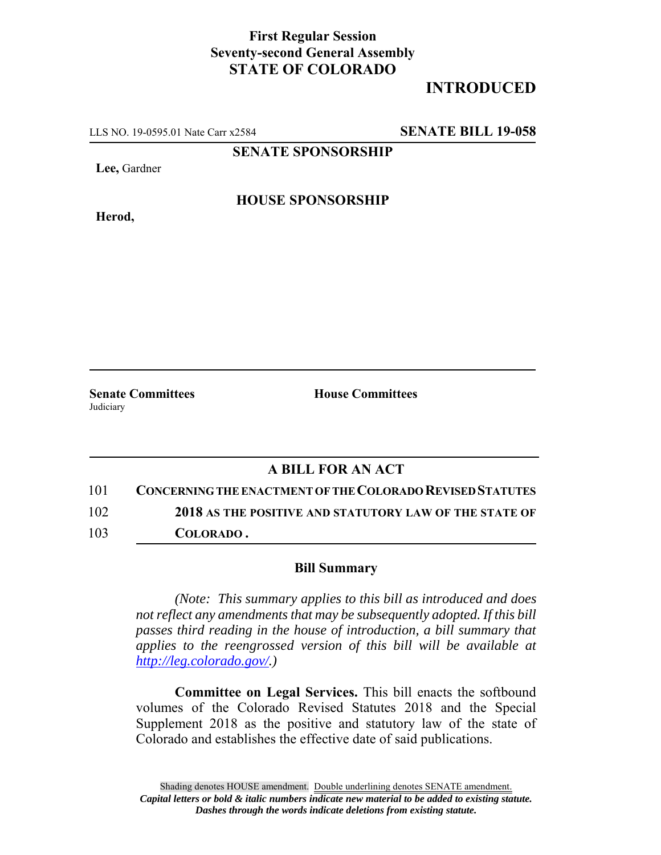## **First Regular Session Seventy-second General Assembly STATE OF COLORADO**

## **INTRODUCED**

LLS NO. 19-0595.01 Nate Carr x2584 **SENATE BILL 19-058**

**SENATE SPONSORSHIP**

**Lee,** Gardner

**Herod,**

**HOUSE SPONSORSHIP**

**Senate Committees House Committees** Judiciary

## **A BILL FOR AN ACT**

101 **CONCERNING THE ENACTMENT OF THE COLORADO REVISED STATUTES** 102 **2018 AS THE POSITIVE AND STATUTORY LAW OF THE STATE OF**

103 **COLORADO .**

## **Bill Summary**

*(Note: This summary applies to this bill as introduced and does not reflect any amendments that may be subsequently adopted. If this bill passes third reading in the house of introduction, a bill summary that applies to the reengrossed version of this bill will be available at http://leg.colorado.gov/.)*

**Committee on Legal Services.** This bill enacts the softbound volumes of the Colorado Revised Statutes 2018 and the Special Supplement 2018 as the positive and statutory law of the state of Colorado and establishes the effective date of said publications.